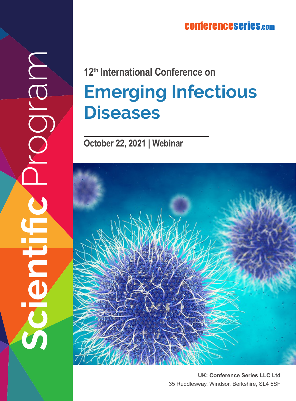## conferenceserie s.co m

## **Emerging Infectious Diseases 12th International Conference on**

**October 22, 2021 | Webinar**

**Scientific** Program

E

MBID



**UK: Conference Series LLC Ltd** 35 Ruddlesway, Windsor, Berkshire, SL4 5SF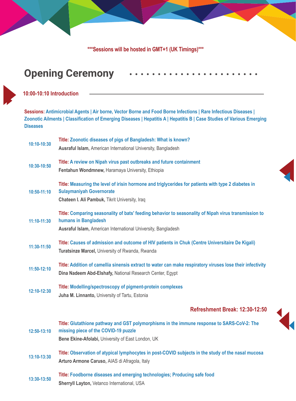**\*\*\*Sessions will be hosted in GMT+1 (UK Timings)\*\*\*** 

## **Opening Ceremony**

## **10:00-10:10 Introduction**

**Sessions: Antimicrobial Agents | Air borne, Vector Borne and Food Borne Infections | Rare Infectious Diseases | Zoonotic Ailments | Classification of Emerging Diseases | Hepatitis A | Hepatitis B | Case Studies of Various Emerging Diseases**

| $10:10-10:30$   | Title: Zoonotic diseases of pigs of Bangladesh: What is known?                                            |
|-----------------|-----------------------------------------------------------------------------------------------------------|
|                 | Ausraful Islam, American International University, Bangladesh                                             |
| 10:30-10:50     | Title: A review on Nipah virus past outbreaks and future containment                                      |
|                 | Fentahun Wondmnew, Haramaya University, Ethiopia                                                          |
|                 | Title: Measuring the level of irisin hormone and triglycerides for patients with type 2 diabetes in       |
| $10:50 - 11:10$ | <b>Sulaymaniyah Governorate</b>                                                                           |
|                 | Chateen I. Ali Pambuk, Tikrit University, Iraq                                                            |
| 11:10-11:30     | Title: Comparing seasonality of bats' feeding behavior to seasonality of Nipah virus transmission to      |
|                 | humans in Bangladesh                                                                                      |
|                 | Ausraful Islam, American International University, Bangladesh                                             |
| 11:30-11:50     | Title: Causes of admission and outcome of HIV patients in Chuk (Centre Universitaire De Kigali)           |
|                 | Turatsinze Marcel, University of Rwanda, Rwanda                                                           |
| $11:50-12:10$   | Title: Addition of camellia sinensis extract to water can make respiratory viruses lose their infectivity |
|                 | Dina Nadeem Abd-Elshafy, National Research Center, Egypt                                                  |
|                 | Title: Modelling/spectroscopy of pigment-protein complexes                                                |
| 12:10-12:30     | Juha M. Linnanto, University of Tartu, Estonia                                                            |
|                 |                                                                                                           |
|                 | <b>Refreshment Break: 12:30-12:50</b>                                                                     |
|                 | Title: Glutathione pathway and GST polymorphisms in the immune response to SARS-CoV-2: The                |
| 12:50-13:10     | missing piece of the COVID-19 puzzle                                                                      |
|                 | Bene Ekine-Afolabi, University of East London, UK                                                         |
| 13:10-13:30     | Title: Observation of atypical lymphocytes in post-COVID subjects in the study of the nasal mucosa        |
|                 | Arturo Armone Caruso, AIAS di Afragola, Italy                                                             |
| 13:30-13:50     | Title: Foodborne diseases and emerging technologies; Producing safe food                                  |
|                 | Sherryll Layton, Vetanco International, USA                                                               |
|                 |                                                                                                           |